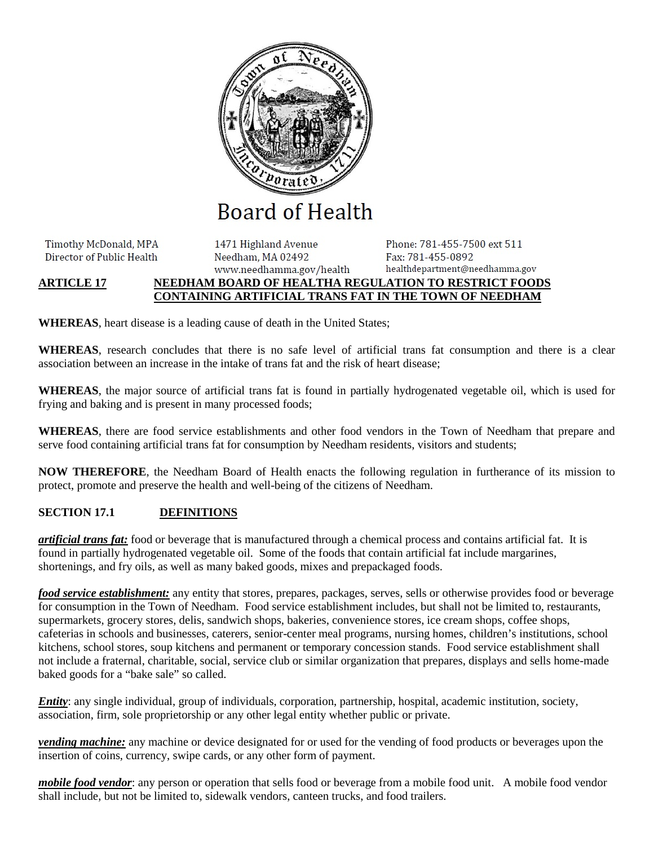

**Board of Health** 

Timothy McDonald, MPA Director of Public Health

1471 Highland Avenue Needham, MA 02492 www.needhamma.gov/health

Phone: 781-455-7500 ext 511 Fax: 781-455-0892 healthdepartment@needhamma.gov

# **ARTICLE 17 NEEDHAM BOARD OF HEALTHA REGULATION TO RESTRICT FOODS CONTAINING ARTIFICIAL TRANS FAT IN THE TOWN OF NEEDHAM**

**WHEREAS**, heart disease is a leading cause of death in the United States;

**WHEREAS**, research concludes that there is no safe level of artificial trans fat consumption and there is a clear association between an increase in the intake of trans fat and the risk of heart disease;

**WHEREAS**, the major source of artificial trans fat is found in partially hydrogenated vegetable oil, which is used for frying and baking and is present in many processed foods;

**WHEREAS**, there are food service establishments and other food vendors in the Town of Needham that prepare and serve food containing artificial trans fat for consumption by Needham residents, visitors and students;

**NOW THEREFORE**, the Needham Board of Health enacts the following regulation in furtherance of its mission to protect, promote and preserve the health and well-being of the citizens of Needham.

# **SECTION 17.1 DEFINITIONS**

*artificial trans fat:* food or beverage that is manufactured through a chemical process and contains artificial fat. It is found in partially hydrogenated vegetable oil. Some of the foods that contain artificial fat include margarines, shortenings, and fry oils, as well as many baked goods, mixes and prepackaged foods.

*food service establishment:* any entity that stores, prepares, packages, serves, sells or otherwise provides food or beverage for consumption in the Town of Needham. Food service establishment includes, but shall not be limited to, restaurants, supermarkets, grocery stores, delis, sandwich shops, bakeries, convenience stores, ice cream shops, coffee shops, cafeterias in schools and businesses, caterers, senior-center meal programs, nursing homes, children's institutions, school kitchens, school stores, soup kitchens and permanent or temporary concession stands. Food service establishment shall not include a fraternal, charitable, social, service club or similar organization that prepares, displays and sells home-made baked goods for a "bake sale" so called.

*Entity*: any single individual, group of individuals, corporation, partnership, hospital, academic institution, society, association, firm, sole proprietorship or any other legal entity whether public or private.

*vending machine:* any machine or device designated for or used for the vending of food products or beverages upon the insertion of coins, currency, swipe cards, or any other form of payment.

*mobile food vendor*: any person or operation that sells food or beverage from a mobile food unit. A mobile food vendor shall include, but not be limited to, sidewalk vendors, canteen trucks, and food trailers.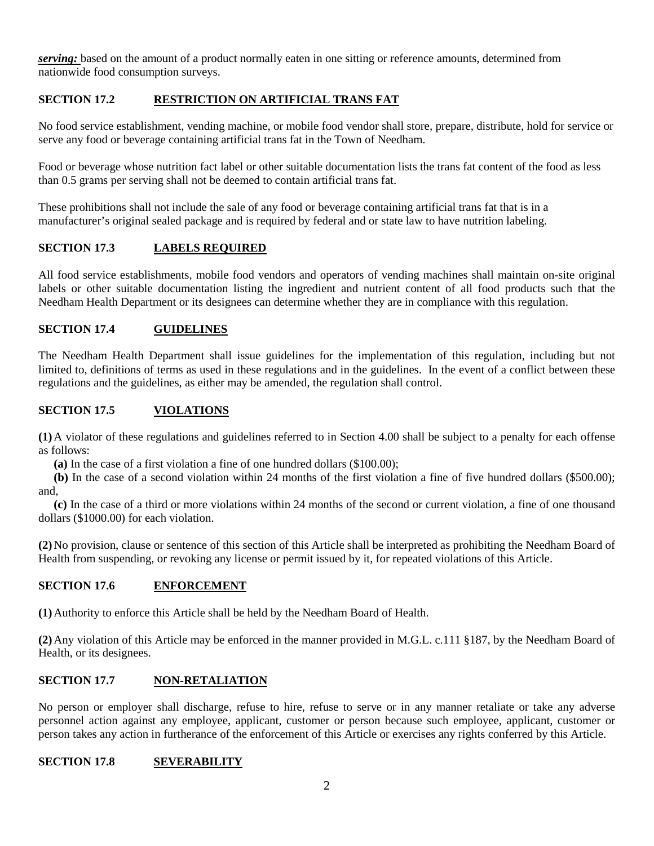*serving:* based on the amount of a product normally eaten in one sitting or reference amounts, determined from nationwide food consumption surveys.

## **SECTION 17.2 RESTRICTION ON ARTIFICIAL TRANS FAT**

No food service establishment, vending machine, or mobile food vendor shall store, prepare, distribute, hold for service or serve any food or beverage containing artificial trans fat in the Town of Needham.

Food or beverage whose nutrition fact label or other suitable documentation lists the trans fat content of the food as less than 0.5 grams per serving shall not be deemed to contain artificial trans fat.

These prohibitions shall not include the sale of any food or beverage containing artificial trans fat that is in a manufacturer's original sealed package and is required by federal and or state law to have nutrition labeling.

### **SECTION 17.3 LABELS REQUIRED**

All food service establishments, mobile food vendors and operators of vending machines shall maintain on-site original labels or other suitable documentation listing the ingredient and nutrient content of all food products such that the Needham Health Department or its designees can determine whether they are in compliance with this regulation.

## **SECTION 17.4 GUIDELINES**

The Needham Health Department shall issue guidelines for the implementation of this regulation, including but not limited to, definitions of terms as used in these regulations and in the guidelines. In the event of a conflict between these regulations and the guidelines, as either may be amended, the regulation shall control.

### **SECTION 17.5 VIOLATIONS**

**(1)**A violator of these regulations and guidelines referred to in Section 4.00 shall be subject to a penalty for each offense as follows:

**(a)** In the case of a first violation a fine of one hundred dollars (\$100.00);

**(b)** In the case of a second violation within 24 months of the first violation a fine of five hundred dollars (\$500.00); and,

**(c)** In the case of a third or more violations within 24 months of the second or current violation, a fine of one thousand dollars (\$1000.00) for each violation.

**(2)**No provision, clause or sentence of this section of this Article shall be interpreted as prohibiting the Needham Board of Health from suspending, or revoking any license or permit issued by it, for repeated violations of this Article.

#### **SECTION 17.6 ENFORCEMENT**

**(1)**Authority to enforce this Article shall be held by the Needham Board of Health.

**(2)**Any violation of this Article may be enforced in the manner provided in M.G.L. c.111 §187, by the Needham Board of Health, or its designees.

#### **SECTION 17.7 NON-RETALIATION**

No person or employer shall discharge, refuse to hire, refuse to serve or in any manner retaliate or take any adverse personnel action against any employee, applicant, customer or person because such employee, applicant, customer or person takes any action in furtherance of the enforcement of this Article or exercises any rights conferred by this Article.

#### **SECTION 17.8 SEVERABILITY**